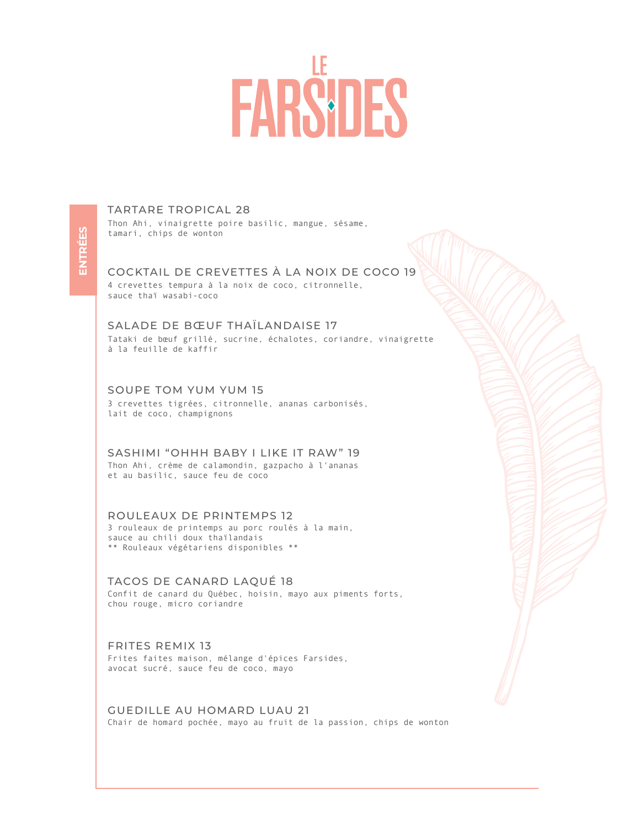# **FARS DES**

**ENTRÉES ENTRÉES** 

# TARTARE TROPICAL 28

Thon Ahi, vinaigrette poire basilic, mangue, sésame, tamari, chips de wonton

# COCKTAIL DE CREVETTES À LA NOIX DE COCO 19

4 crevettes tempura à la noix de coco, citronnelle, sauce thaï wasabi-coco

SALADE DE BŒUF THAÏLANDAISE 17 Tataki de bœuf grillé, sucrine, échalotes, coriandre, vinaigrette à la feuille de kaffir

#### SOUPE TOM YUM YUM 15

3 crevettes tigrées, citronnelle, ananas carbonisés, lait de coco, champignons

SASHIMI "OHHH BABY I LIKE IT RAW" 19 Thon Ahi, crème de calamondin, gazpacho à l'ananas et au basilic, sauce feu de coco

#### ROULEAUX DE PRINTEMPS 12

3 rouleaux de printemps au porc roulés à la main, sauce au chili doux thaïlandais \*\* Rouleaux végétariens disponibles \*\*

#### TACOS DE CANARD LAQUÉ 18

Confit de canard du Québec, hoisin, mayo aux piments forts, chou rouge, micro coriandre

#### FRITES REMIX 13

Frites faites maison, mélange d'épices Farsides, avocat sucré, sauce feu de coco, mayo

GUEDILLE AU HOMARD LUAU 21 Chair de homard pochée, mayo au fruit de la passion, chips de wonton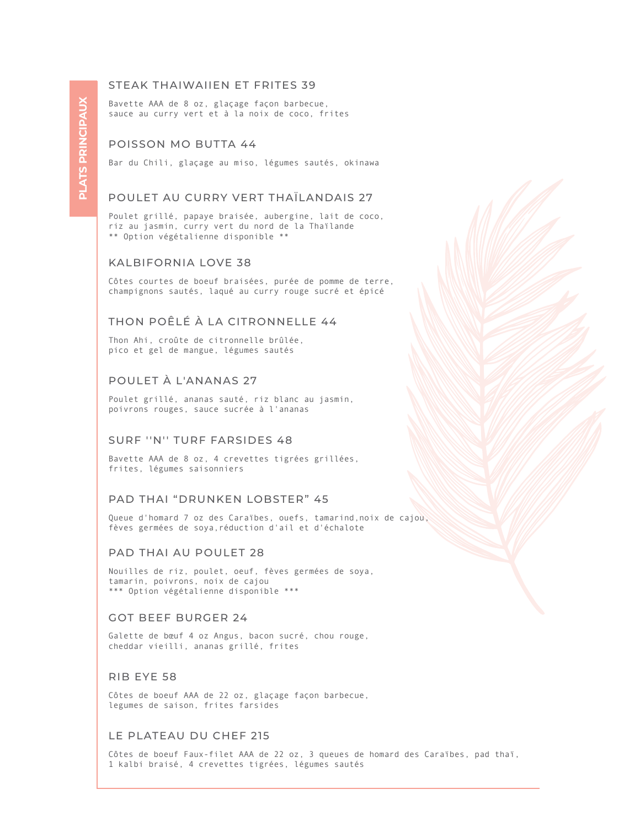### STEAK THAIWAIIEN ET FRITES 39

Bavette AAA de 8 oz, glaçage façon barbecue, sauce au curry vert et à la noix de coco, frites

# POISSON MO BUTTA 44

Bar du Chili, glaçage au miso, légumes sautés, okinawa

#### POULET AU CURRY VERT THAÏLANDAIS 27

Poulet grillé, papaye braisée, aubergine, lait de coco, riz au jasmin, curry vert du nord de la Thaïlande \*\* Option végétalienne disponible \*\*

#### KALBIFORNIA LOVE 38

Côtes courtes de boeuf braisées, purée de pomme de terre, champignons sautés, laqué au curry rouge sucré et épicé

# THON POÊLÉ À LA CITRONNELLE 44

Thon Ahi, croûte de citronnelle brûlée, pico et gel de mangue, légumes sautés

# POULET À L'ANANAS 27

Poulet grillé, ananas sauté, riz blanc au jasmin, poivrons rouges, sauce sucrée à l'ananas

# SURF ''N'' TURF FARSIDES 48

Bavette AAA de 8 oz, 4 crevettes tigrées grillées, frites, légumes saisonniers

### PAD THAI "DRUNKEN LOBSTER" 45

Queue d'homard 7 oz des Caraïbes, ouefs, tamarind,noix de cajou, fèves germées de soya,réduction d'ail et d'échalote

## PAD THAI AU POULET 28

Nouilles de riz, poulet, oeuf, fèves germées de soya, tamarin, poivrons, noix de cajou \*\*\* Option végétalienne disponible \*\*\*

#### GOT BEEF BURGER 24

Galette de bœuf 4 oz Angus, bacon sucré, chou rouge, cheddar vieilli, ananas grillé, frites

#### RIB EYE 58

Côtes de boeuf AAA de 22 oz, glaçage façon barbecue, legumes de saison, frites farsides

# LE PLATEAU DU CHEF 215

Côtes de boeuf Faux-filet AAA de 22 oz, 3 queues de homard des Caraïbes, pad thaï, 1 kalbi braisé, 4 crevettes tigrées, légumes sautés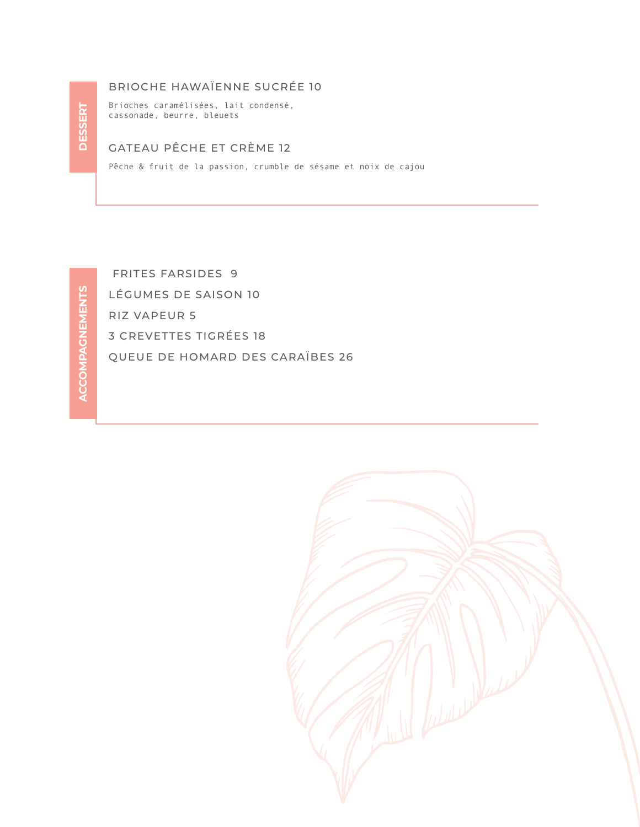# BRIOCHE HAWAÏENNE SUCRÉE 10

Brioches caramélisées, lait condensé, cassonade, beurre, bleuets

# GATEAU PÊCHE ET CRÈME 12

Pêche & fruit de la passion, crumble de sésame et noix de cajou

 FRITES FARSIDES 9 LÉGUMES DE SAISON 10 RIZ VAPEUR 5 3 CREVETTES TIGRÉES 18 QUEUE DE HOMARD DES CARAÏBES 26

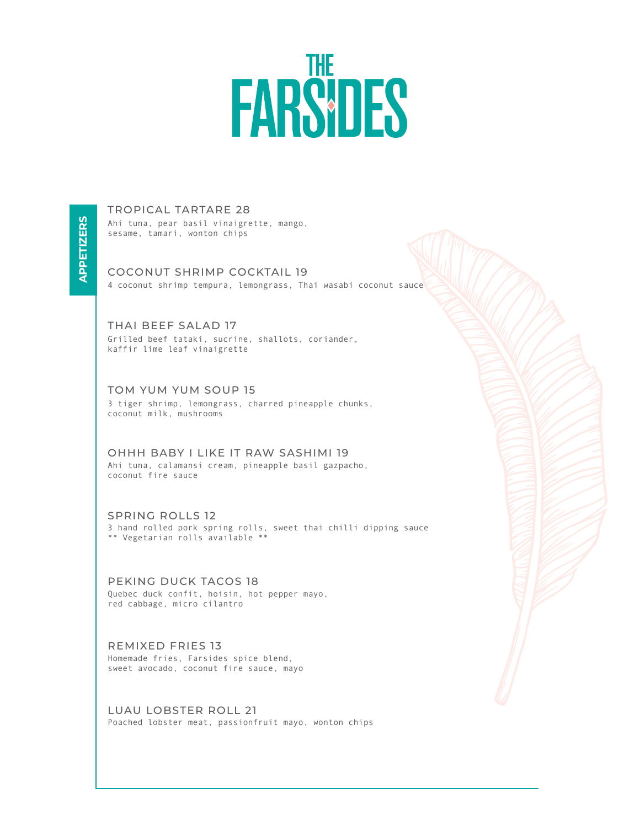# FARSIDES

**APPETIZERS APPETIZERS**

TROPICAL TARTARE 28 Ahi tuna, pear basil vinaigrette, mango, sesame, tamari, wonton chips

COCONUT SHRIMP COCKTAIL 19 4 coconut shrimp tempura, lemongrass, Thai wasabi coconut sauce

THAI BEEF SALAD 17 Grilled beef tataki, sucrine, shallots, coriander, kaffir lime leaf vinaigrette

TOM YUM YUM SOUP 15 3 tiger shrimp, lemongrass, charred pineapple chunks, coconut milk, mushrooms

OHHH BABY I LIKE IT RAW SASHIMI 19 Ahi tuna, calamansi cream, pineapple basil gazpacho, coconut fire sauce

SPRING ROLLS 12 3 hand rolled pork spring rolls, sweet thai chilli dipping sauce \*\* Vegetarian rolls available \*\*

PEKING DUCK TACOS 18 Quebec duck confit, hoisin, hot pepper mayo, red cabbage, micro cilantro

REMIXED FRIES 13 Homemade fries, Farsides spice blend, sweet avocado, coconut fire sauce, mayo

LUAU LOBSTER ROLL 21 Poached lobster meat, passionfruit mayo, wonton chips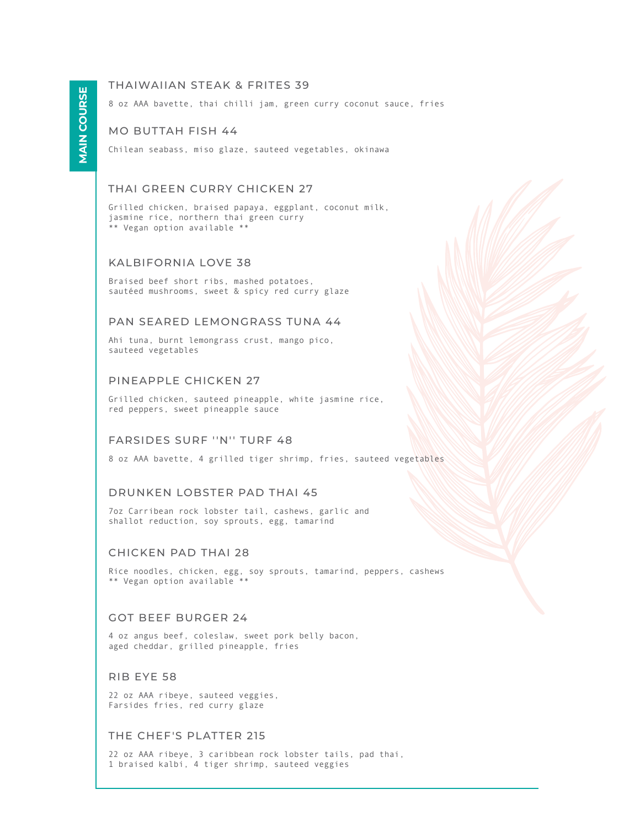# THAIWAIIAN STEAK & FRITES 39

8 oz AAA bavette, thai chilli jam, green curry coconut sauce, fries

#### MO BUTTAH FISH 44

Chilean seabass, miso glaze, sauteed vegetables, okinawa

# THAI GREEN CURRY CHICKEN 27

Grilled chicken, braised papaya, eggplant, coconut milk, jasmine rice, northern thai green curry \*\* Vegan option available \*\*

#### KALBIFORNIA LOVE 38

Braised beef short ribs, mashed potatoes, sautéed mushrooms, sweet & spicy red curry glaze

# PAN SEARED LEMONGRASS TUNA 44

Ahi tuna, burnt lemongrass crust, mango pico, sauteed vegetables

#### PINEAPPLE CHICKEN 27

Grilled chicken, sauteed pineapple, white jasmine rice, red peppers, sweet pineapple sauce

#### FARSIDES SURF ''N'' TURF 48

8 oz AAA bavette, 4 grilled tiger shrimp, fries, sauteed vegetables

#### DRUNKEN LOBSTER PAD THAI 45

7oz Carribean rock lobster tail, cashews, garlic and shallot reduction, soy sprouts, egg, tamarind

#### CHICKEN PAD THAI 28

Rice noodles, chicken, egg, soy sprouts, tamarind, peppers, cashews \*\* Vegan option available \*\*

#### GOT BEEF BURGER 24

4 oz angus beef, coleslaw, sweet pork belly bacon, aged cheddar, grilled pineapple, fries

#### RIB EYE 58

22 oz AAA ribeye, sauteed veggies, Farsides fries, red curry glaze

#### THE CHEF'S PLATTER 215

22 oz AAA ribeye, 3 caribbean rock lobster tails, pad thai, 1 braised kalbi, 4 tiger shrimp, sauteed veggies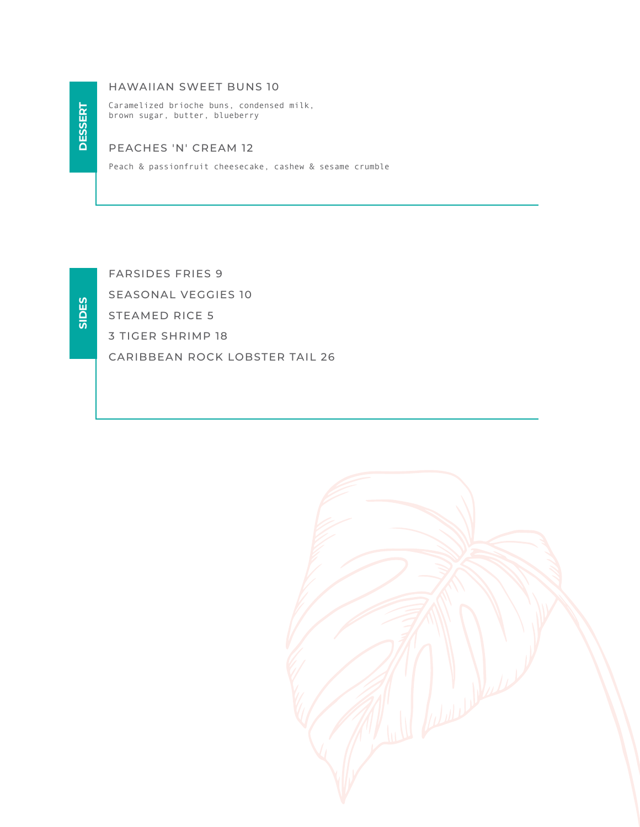# **DESSERT DESSERT**

# HAWAIIAN SWEET BUNS 10

Caramelized brioche buns, condensed milk, brown sugar, butter, blueberry

# PEACHES 'N' CREAM 12

Peach & passionfruit cheesecake, cashew & sesame crumble

**SIDES**

FARSIDES FRIES 9

SEASONAL VEGGIES 10

STEAMED RICE 5

3 TIGER SHRIMP 18

CARIBBEAN ROCK LOBSTER TAIL 26

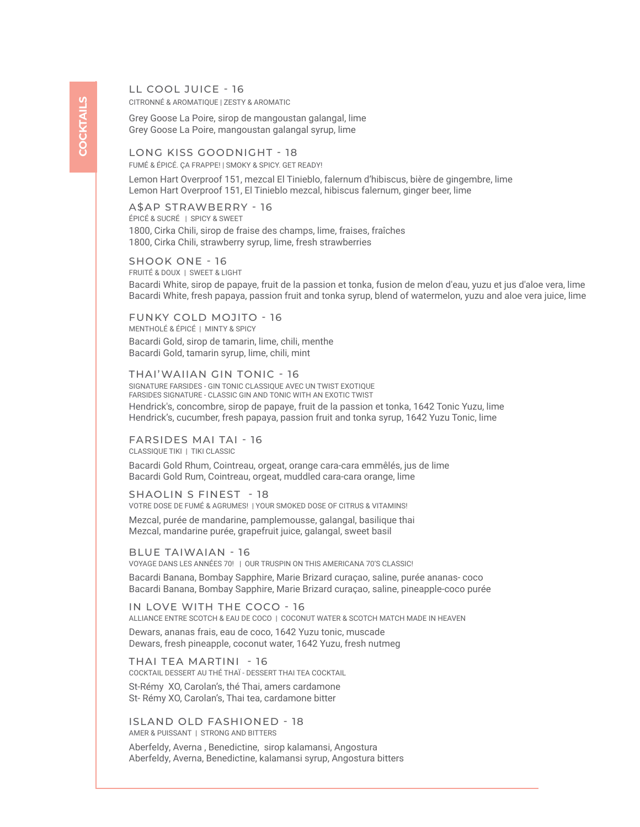LL COOL JUICE - 16

CITRONNÉ & AROMATIQUE | ZESTY & AROMATIC

Grey Goose La Poire, sirop de mangoustan galangal, lime Grey Goose La Poire, mangoustan galangal syrup, lime

FUMÉ & ÉPICÉ. ÇA FRAPPE! | SMOKY & SPICY. GET READY! LONG KISS GOODNIGHT - 18

Lemon Hart Overproof 151, mezcal El Tinieblo, falernum d'hibiscus, bière de gingembre, lime Lemon Hart Overproof 151, El Tinieblo mezcal, hibiscus falernum, ginger beer, lime

ÉPICÉ & SUCRÉ | SPICY & SWEET A\$AP STRAWBERRY - 16 1800, Cirka Chili, sirop de fraise des champs, lime, fraises, fraîches 1800, Cirka Chili, strawberry syrup, lime, fresh strawberries

FRUITÉ & DOUX | SWEET & LIGHT SHOOK ONE - 16 Bacardi White, sirop de papaye, fruit de la passion et tonka, fusion de melon d'eau, yuzu et jus d'aloe vera, lime Bacardi White, fresh papaya, passion fruit and tonka syrup, blend of watermelon, yuzu and aloe vera juice, lime

MENTHOLÉ & ÉPICÉ | MINTY & SPICY FUNKY COLD MOJITO - 16 Bacardi Gold, sirop de tamarin, lime, chili, menthe Bacardi Gold, tamarin syrup, lime, chili, mint

SIGNATURE FARSIDES - GIN TONIC CLASSIQUE AVEC UN TWIST EXOTIQUE FARSIDES SIGNATURE - CLASSIC GIN AND TONIC WITH AN EXOTIC TWIST THAI'WAIIAN GIN TONIC - 16 Hendrick's, concombre, sirop de papaye, fruit de la passion et tonka, 1642 Tonic Yuzu, lime Hendrick's, cucumber, fresh papaya, passion fruit and tonka syrup, 1642 Yuzu Tonic, lime

CLASSIOUE TIKI | TIKI CLASSIC FARSIDES MAI TAI - 16 Bacardi Gold Rhum, Cointreau, orgeat, orange cara-cara emmêlés, jus de lime Bacardi Gold Rum, Cointreau, orgeat, muddled cara-cara orange, lime

VOTRE DOSE DE FUMÉ & AGRUMES! | YOUR SMOKED DOSE OF CITRUS & VITAMINS! SHAOLIN S FINEST - 18 Mezcal, purée de mandarine, pamplemousse, galangal, basilique thai Mezcal, mandarine purée, grapefruit juice, galangal, sweet basil

VOYAGE DANS LES ANNÉES 70! | OUR TRUSPIN ON THIS AMERICANA 70'S CLASSIC! BLUE TAIWAIAN - 16

Bacardi Banana, Bombay Sapphire, Marie Brizard curaçao, saline, purée ananas- coco Bacardi Banana, Bombay Sapphire, Marie Brizard curaçao, saline, pineapple-coco purée

ALLIANCE ENTRE SCOTCH & EAU DE COCO | COCONUT WATER & SCOTCH MATCH MADE IN HEAVEN IN LOVE WITH THE COCO - 16 Dewars, ananas frais, eau de coco, 1642 Yuzu tonic, muscade

Dewars, fresh pineapple, coconut water, 1642 Yuzu, fresh nutmeg

COCKTAIL DESSERT AU THÉ THAÏ - DESSERT THAI TEA COCKTAIL THAI TEA MARTINI - 16 St-Rémy XO, Carolan's, thé Thai, amers cardamone St- Rémy XO, Carolan's, Thai tea, cardamone bitter

ISLAND OLD FASHIONED - 18

AMER & PUISSANT | STRONG AND BITTERS

Aberfeldy, Averna , Benedictine, sirop kalamansi, Angostura Aberfeldy, Averna, Benedictine, kalamansi syrup, Angostura bitters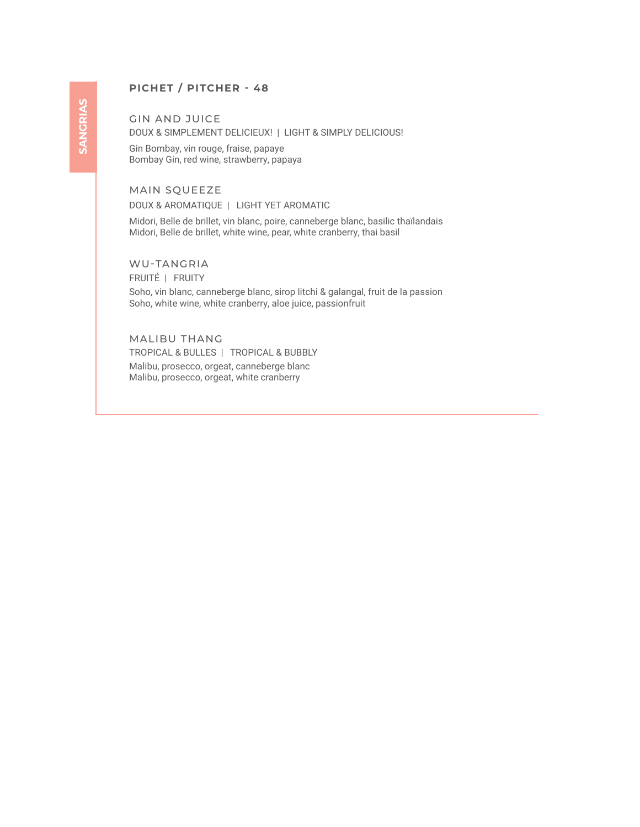# **PICHET / PITCHER - 48**

GIN AND JUICE DOUX & SIMPLEMENT DELICIEUX! | LIGHT & SIMPLY DELICIOUS!

Gin Bombay, vin rouge, fraise, papaye Bombay Gin, red wine, strawberry, papaya

# MAIN SQUEEZE

DOUX & AROMATIQUE | LIGHT YET AROMATIC

Midori, Belle de brillet, vin blanc, poire, canneberge blanc, basilic thaïlandais Midori, Belle de brillet, white wine, pear, white cranberry, thai basil

WU-TANGRIA

FRUITÉ | FRUITY

Soho, vin blanc, canneberge blanc, sirop litchi & galangal, fruit de la passion Soho, white wine, white cranberry, aloe juice, passionfruit

MALIBU THANG Malibu, prosecco, orgeat, canneberge blanc Malibu, prosecco, orgeat, white cranberry TROPICAL & BULLES | TROPICAL & BUBBLY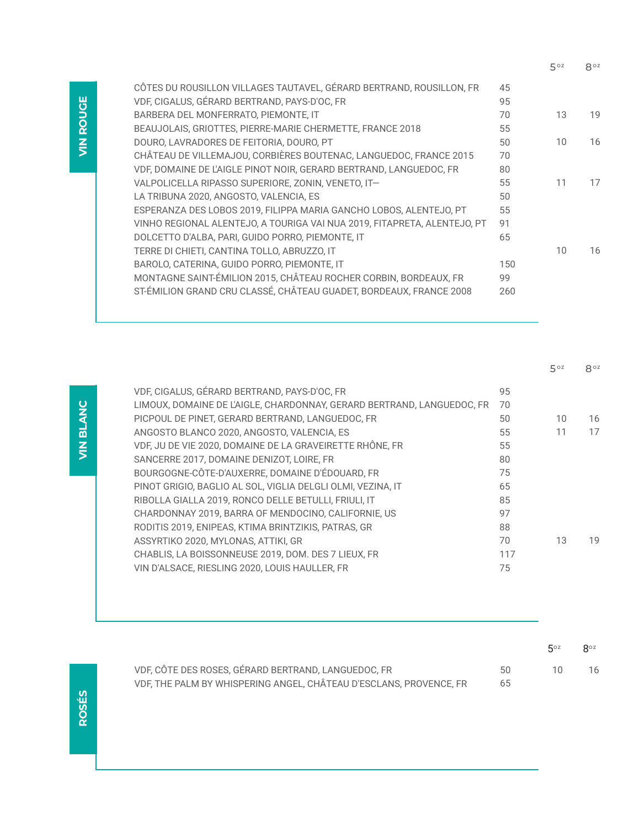|                                                                          |     | 50z | 8°z |
|--------------------------------------------------------------------------|-----|-----|-----|
| CÔTES DU ROUSILLON VILLAGES TAUTAVEL, GÉRARD BERTRAND, ROUSILLON, FR     | 45  |     |     |
| VDF, CIGALUS, GÉRARD BERTRAND, PAYS-D'OC, FR                             | 95  |     |     |
| BARBERA DEL MONFERRATO, PIEMONTE, IT                                     | 70  | 13  | 19  |
| BEAUJOLAIS, GRIOTTES, PIERRE-MARIE CHERMETTE, FRANCE 2018                | 55  |     |     |
| DOURO, LAVRADORES DE FEITORIA, DOURO, PT                                 | 50  | 10  | 16  |
| CHÂTEAU DE VILLEMAJOU, CORBIÈRES BOUTENAC, LANGUEDOC, FRANCE 2015        | 70  |     |     |
| VDF, DOMAINE DE L'AIGLE PINOT NOIR, GERARD BERTRAND, LANGUEDOC, FR       | 80  |     |     |
| VALPOLICELLA RIPASSO SUPERIORE, ZONIN, VENETO, IT-                       | 55  | 11  | 17  |
| LA TRIBUNA 2020, ANGOSTO, VALENCIA, ES                                   | 50  |     |     |
| ESPERANZA DES LOBOS 2019, FILIPPA MARIA GANCHO LOBOS, ALENTEJO, PT       | 55  |     |     |
| VINHO REGIONAL ALENTEJO, A TOURIGA VAI NUA 2019, FITAPRETA, ALENTEJO, PT | 91  |     |     |
| DOLCETTO D'ALBA, PARI, GUIDO PORRO, PIEMONTE, IT                         | 65  |     |     |
| TERRE DI CHIETI, CANTINA TOLLO, ABRUZZO, IT                              |     | 10  | 16  |
| BAROLO, CATERINA, GUIDO PORRO, PIEMONTE, IT                              | 150 |     |     |
| MONTAGNE SAINT-ÉMILION 2015, CHÂTEAU ROCHER CORBIN, BORDEAUX, FR         | 99  |     |     |
| ST-ÉMILION GRAND CRU CLASSÉ, CHÂTEAU GUADET, BORDEAUX, FRANCE 2008       | 260 |     |     |
|                                                                          |     |     |     |

|                                                                        |     | $5^{oz}$ | 8°Z |
|------------------------------------------------------------------------|-----|----------|-----|
| VDF, CIGALUS, GÉRARD BERTRAND, PAYS-D'OC, FR                           | 95  |          |     |
| LIMOUX, DOMAINE DE L'AIGLE, CHARDONNAY, GERARD BERTRAND, LANGUEDOC, FR | 70  |          |     |
| PICPOUL DE PINET, GERARD BERTRAND, LANGUEDOC, FR                       | 50  | 10       | 16  |
| ANGOSTO BLANCO 2020, ANGOSTO, VALENCIA, ES                             | 55  | 11       | 17  |
| VDF, JU DE VIE 2020, DOMAINE DE LA GRAVEIRETTE RHÔNE, FR               | 55  |          |     |
| SANCERRE 2017, DOMAINE DENIZOT, LOIRE, FR                              | 80  |          |     |
| BOURGOGNE-CÔTE-D'AUXERRE, DOMAINE D'ÉDOUARD, FR                        | 75  |          |     |
| PINOT GRIGIO, BAGLIO AL SOL, VIGLIA DELGLI OLMI, VEZINA, IT            | 65  |          |     |
| RIBOLLA GIALLA 2019, RONCO DELLE BETULLI, FRIULI, IT                   | 85  |          |     |
| CHARDONNAY 2019, BARRA OF MENDOCINO, CALIFORNIE, US                    | 97  |          |     |
| RODITIS 2019, ENIPEAS, KTIMA BRINTZIKIS, PATRAS, GR                    | 88  |          |     |
| ASSYRTIKO 2020, MYLONAS, ATTIKI, GR                                    | 70  | 13       | 19  |
| CHABLIS, LA BOISSONNEUSE 2019, DOM. DES 7 LIEUX, FR                    | 117 |          |     |
| VIN D'ALSACE, RIESLING 2020, LOUIS HAULLER, FR                         | 75  |          |     |
|                                                                        |     |          |     |

|                                                                    |     | $5^{\circ z}$ | $R^{oz}$ |
|--------------------------------------------------------------------|-----|---------------|----------|
| VDF, CÔTE DES ROSES, GÉRARD BERTRAND, LANGUEDOC, FR                | 50. | - 10 -        | 16       |
| VDF, THE PALM BY WHISPERING ANGEL, CHÂTEAU D'ESCLANS, PROVENCE, FR | 65  |               |          |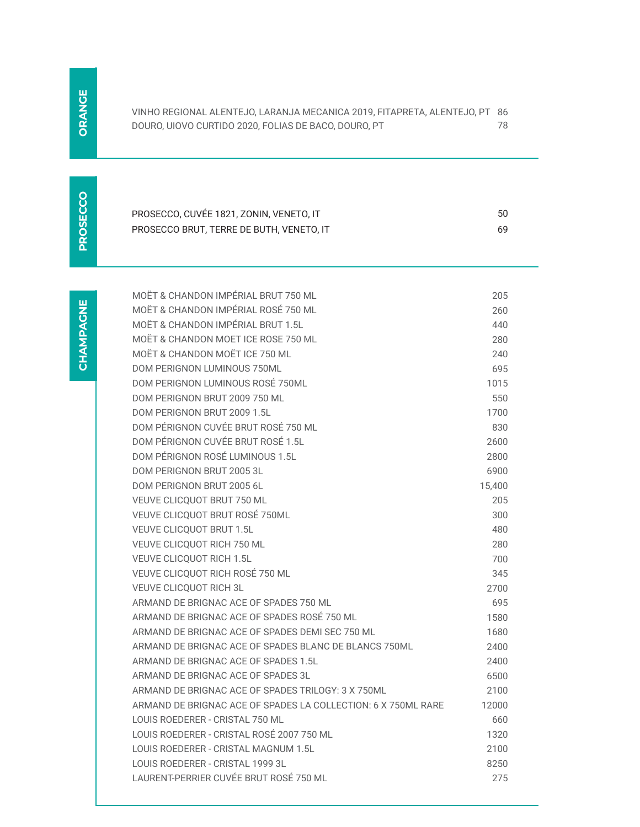| VINHO REGIONAL ALENTEJO, LARANJA MECANICA 2019, FITAPRETA, ALENTEJO, PT 86 |  |
|----------------------------------------------------------------------------|--|
| DOURO, UIOVO CURTIDO 2020, FOLIAS DE BACO, DOURO, PT                       |  |

PROSECCO **PROSECCO**

| PROSECCO, CUVÉE 1821, ZONIN, VENETO, IT  | 50 |
|------------------------------------------|----|
| PROSECCO BRUT, TERRE DE BUTH, VENETO, IT | 69 |

| MOËT & CHANDON IMPÉRIAL BRUT 750 ML                           | 205    |
|---------------------------------------------------------------|--------|
| MOËT & CHANDON IMPÉRIAL ROSÉ 750 ML                           | 260    |
| MOËT & CHANDON IMPÉRIAL BRUT 1.5L                             | 440    |
| MOËT & CHANDON MOFT ICF ROSE 750 ML                           | 280    |
| MOËT & CHANDON MOËT ICE 750 ML                                | 240    |
| <b>DOM PERIGNON LUMINOUS 750ML</b>                            | 695    |
| DOM PERIGNON LUMINOUS ROSÉ 750ML                              | 1015   |
| DOM PERIGNON BRUT 2009 750 ML                                 | 550    |
| DOM PERIGNON BRUT 2009 1.5L                                   | 1700   |
| DOM PÉRIGNON CUVÉE BRUT ROSÉ 750 ML                           | 830    |
| DOM PÉRIGNON CUVÉE BRUT ROSÉ 1.5L                             | 2600   |
| DOM PÉRIGNON ROSÉ LUMINOUS 1.5L                               | 2800   |
| DOM PERIGNON BRUT 2005 3L                                     | 6900   |
| DOM PERIGNON BRUT 2005 6L                                     | 15,400 |
| VEUVE CLICQUOT BRUT 750 ML                                    | 205    |
| VEUVE CLICQUOT BRUT ROSÉ 750ML                                | 300    |
| <b>VEUVE CLICQUOT BRUT 1.5L</b>                               | 480    |
| VEUVE CLICQUOT RICH 750 ML                                    | 280    |
| <b>VEUVE CLICQUOT RICH 1.5L</b>                               | 700    |
| VEUVE CLICQUOT RICH ROSÉ 750 ML                               | 345    |
| <b>VEUVE CLICOUOT RICH 3L</b>                                 | 2700   |
| ARMAND DE BRIGNAC ACE OF SPADES 750 ML                        | 695    |
| ARMAND DE BRIGNAC ACE OF SPADES ROSÉ 750 ML                   | 1580   |
| ARMAND DE BRIGNAC ACE OF SPADES DEMI SEC 750 ML               | 1680   |
| ARMAND DE BRIGNAC ACE OF SPADES BLANC DE BLANCS 750ML         | 2400   |
| ARMAND DE BRIGNAC ACE OF SPADES 1.5L                          | 2400   |
| ARMAND DE BRIGNAC ACE OF SPADES 3L                            | 6500   |
| ARMAND DE BRIGNAC ACE OF SPADES TRILOGY: 3 X 750ML            | 2100   |
| ARMAND DE BRIGNAC ACE OF SPADES LA COLLECTION: 6 X 750ML RARE | 12000  |
| LOUIS ROEDERER - CRISTAL 750 ML                               | 660    |
| LOUIS ROEDERER - CRISTAL ROSÉ 2007 750 ML                     | 1320   |
| LOUIS ROEDERER - CRISTAL MAGNUM 1.5L                          | 2100   |
| LOUIS ROEDERER - CRISTAL 1999 3L                              | 8250   |
| LAURENT-PERRIER CUVÉE BRUT ROSÉ 750 ML                        | 275    |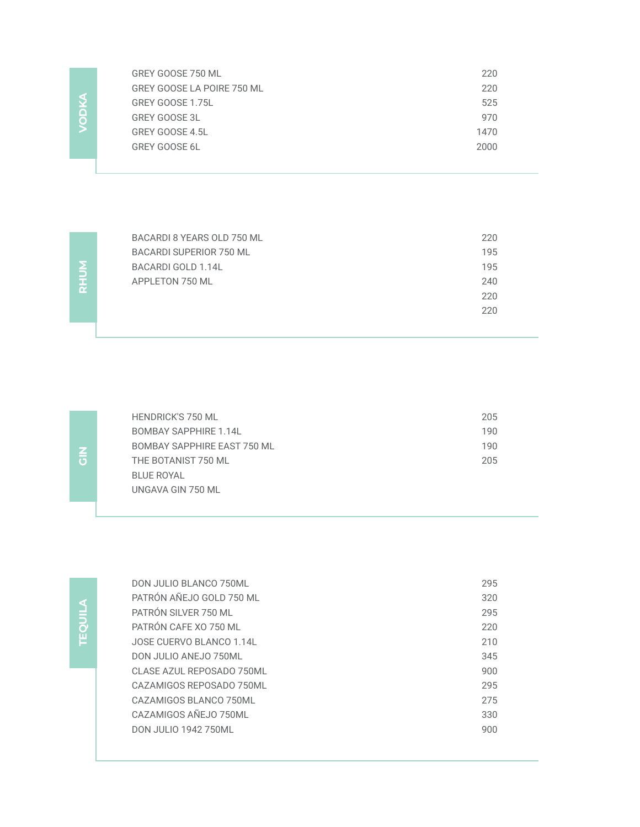| GREY GOOSE 750 ML          | 220  |
|----------------------------|------|
| GREY GOOSE LA POIRE 750 ML | 220  |
| GREY GOOSE 1.75L           | 525  |
| <b>GREY GOOSE 3L</b>       | 970  |
| GREY GOOSE 4.5L            | 1470 |
| <b>GREY GOOSE 6L</b>       | 2000 |
|                            |      |

**RHUM**

**VODKA**

| BACARDI 8 YEARS OLD 750 ML | 220 |
|----------------------------|-----|
| BACARDI SUPERIOR 750 ML    | 195 |
| BACARDI GOLD 1.14L         | 195 |
| APPLETON 750 ML            | 240 |
|                            | 220 |
|                            | 220 |
|                            |     |

| <b>HENDRICK'S 750 ML</b>    | 205 |
|-----------------------------|-----|
| BOMBAY SAPPHIRE 1.14L       | 190 |
| BOMBAY SAPPHIRE EAST 750 ML | 190 |
| THE BOTANIST 750 ML         | 205 |
| BLUE ROYAL                  |     |
| UNGAVA GIN 750 ML           |     |

**TEQUILA TEQUILA**

| DON JULIO BLANCO 750ML      | 295 |
|-----------------------------|-----|
| PATRÓN AÑEJO GOLD 750 ML    | 320 |
| PATRÓN SILVER 750 ML        | 295 |
| PATRÓN CAFF XO 750 ML       | 220 |
| JOSE CUERVO BLANCO 1.14L    | 210 |
| DON JULIO ANEJO 750ML       | 345 |
| CLASE AZUL REPOSADO 750ML   | 900 |
| CAZAMIGOS REPOSADO 750ML    | 295 |
| CAZAMIGOS BLANCO 750ML      | 275 |
| CAZAMIGOS AÑEJO 750ML       | 330 |
| <b>DON JULIO 1942 750ML</b> | 900 |

**GIN**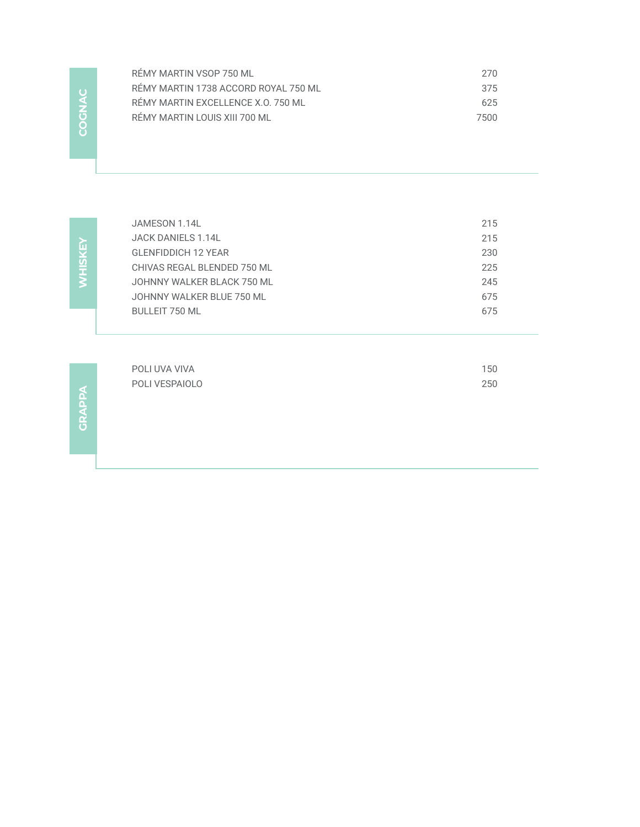| RÉMY MARTIN VSOP 750 ML              | 270  |
|--------------------------------------|------|
| RÉMY MARTIN 1738 ACCORD ROYAL 750 ML | 375  |
| RÉMY MARTIN EXCELLENCE X.O. 750 ML   | 625  |
| RÉMY MARTIN LOUIS XIII 700 ML        | 7500 |
|                                      |      |

WHISKEY **WHISKEY**

**COGNAC** 

COGNAC

| JAMESON 1.14L                | 215 |
|------------------------------|-----|
| JACK DANIELS 1.14L           | 215 |
| <b>GLENFIDDICH 12 YEAR</b>   | 230 |
| CHIVAS REGAL BLENDED 750 ML  | 225 |
| JOHNNY WAI KFR BI ACK 750 ML | 245 |
| JOHNNY WALKER BLUE 750 ML    | 675 |
| <b>BULLEIT 750 ML</b>        | 675 |
|                              |     |

| POLI UVA VIVA  | 150 |
|----------------|-----|
| POLI VESPAIOLO | 250 |